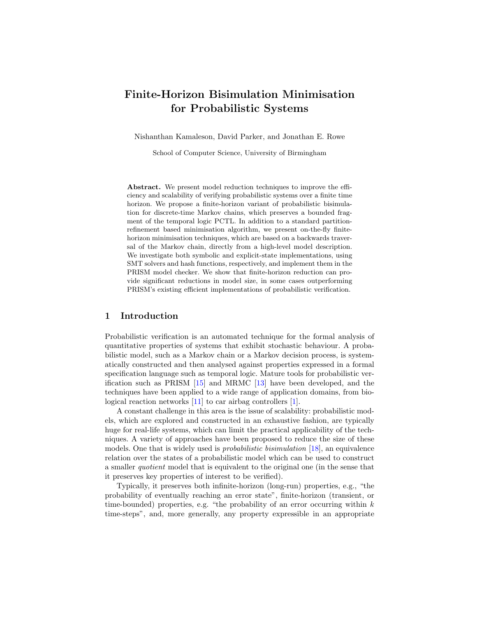# Finite-Horizon Bisimulation Minimisation for Probabilistic Systems

Nishanthan Kamaleson, David Parker, and Jonathan E. Rowe

School of Computer Science, University of Birmingham

Abstract. We present model reduction techniques to improve the efficiency and scalability of verifying probabilistic systems over a finite time horizon. We propose a finite-horizon variant of probabilistic bisimulation for discrete-time Markov chains, which preserves a bounded fragment of the temporal logic PCTL. In addition to a standard partitionrefinement based minimisation algorithm, we present on-the-fly finitehorizon minimisation techniques, which are based on a backwards traversal of the Markov chain, directly from a high-level model description. We investigate both symbolic and explicit-state implementations, using SMT solvers and hash functions, respectively, and implement them in the PRISM model checker. We show that finite-horizon reduction can provide significant reductions in model size, in some cases outperforming PRISM's existing efficient implementations of probabilistic verification.

# 1 Introduction

Probabilistic verification is an automated technique for the formal analysis of quantitative properties of systems that exhibit stochastic behaviour. A probabilistic model, such as a Markov chain or a Markov decision process, is systematically constructed and then analysed against properties expressed in a formal specification language such as temporal logic. Mature tools for probabilistic verification such as PRISM [\[15\]](#page-17-0) and MRMC [\[13\]](#page-16-0) have been developed, and the techniques have been applied to a wide range of application domains, from biological reaction networks [\[11\]](#page-16-1) to car airbag controllers [\[1\]](#page-16-2).

A constant challenge in this area is the issue of scalability: probabilistic models, which are explored and constructed in an exhaustive fashion, are typically huge for real-life systems, which can limit the practical applicability of the techniques. A variety of approaches have been proposed to reduce the size of these models. One that is widely used is *probabilistic bisimulation* [\[18\]](#page-17-1), an equivalence relation over the states of a probabilistic model which can be used to construct a smaller quotient model that is equivalent to the original one (in the sense that it preserves key properties of interest to be verified).

Typically, it preserves both infinite-horizon (long-run) properties, e.g., "the probability of eventually reaching an error state", finite-horizon (transient, or time-bounded) properties, e.g. "the probability of an error occurring within  $k$ time-steps", and, more generally, any property expressible in an appropriate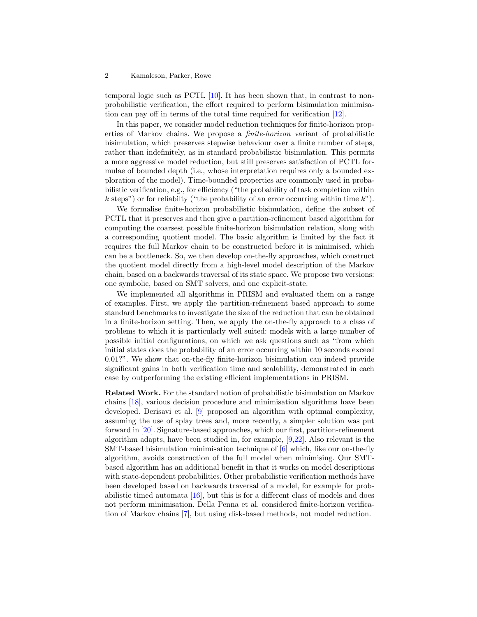temporal logic such as PCTL  $[10]$ . It has been shown that, in contrast to nonprobabilistic verification, the effort required to perform bisimulation minimisation can pay off in terms of the total time required for verification [\[12\]](#page-16-4).

In this paper, we consider model reduction techniques for finite-horizon properties of Markov chains. We propose a finite-horizon variant of probabilistic bisimulation, which preserves stepwise behaviour over a finite number of steps, rather than indefinitely, as in standard probabilistic bisimulation. This permits a more aggressive model reduction, but still preserves satisfaction of PCTL formulae of bounded depth (i.e., whose interpretation requires only a bounded exploration of the model). Time-bounded properties are commonly used in probabilistic verification, e.g., for efficiency ("the probability of task completion within k steps") or for reliabilty ("the probability of an error occurring within time  $k$ ").

We formalise finite-horizon probabilistic bisimulation, define the subset of PCTL that it preserves and then give a partition-refinement based algorithm for computing the coarsest possible finite-horizon bisimulation relation, along with a corresponding quotient model. The basic algorithm is limited by the fact it requires the full Markov chain to be constructed before it is minimised, which can be a bottleneck. So, we then develop on-the-fly approaches, which construct the quotient model directly from a high-level model description of the Markov chain, based on a backwards traversal of its state space. We propose two versions: one symbolic, based on SMT solvers, and one explicit-state.

We implemented all algorithms in PRISM and evaluated them on a range of examples. First, we apply the partition-refinement based approach to some standard benchmarks to investigate the size of the reduction that can be obtained in a finite-horizon setting. Then, we apply the on-the-fly approach to a class of problems to which it is particularly well suited: models with a large number of possible initial configurations, on which we ask questions such as "from which initial states does the probability of an error occurring within 10 seconds exceed 0.01?". We show that on-the-fly finite-horizon bisimulation can indeed provide significant gains in both verification time and scalability, demonstrated in each case by outperforming the existing efficient implementations in PRISM.

Related Work. For the standard notion of probabilistic bisimulation on Markov chains [\[18\]](#page-17-1), various decision procedure and minimisation algorithms have been developed. Derisavi et al. [\[9\]](#page-16-5) proposed an algorithm with optimal complexity, assuming the use of splay trees and, more recently, a simpler solution was put forward in [\[20\]](#page-17-2). Signature-based approaches, which our first, partition-refinement algorithm adapts, have been studied in, for example, [\[9,](#page-16-5)[22\]](#page-17-3). Also relevant is the SMT-based bisimulation minimisation technique of [\[6\]](#page-16-6) which, like our on-the-fly algorithm, avoids construction of the full model when minimising. Our SMTbased algorithm has an additional benefit in that it works on model descriptions with state-dependent probabilities. Other probabilistic verification methods have been developed based on backwards traversal of a model, for example for probabilistic timed automata  $[16]$ , but this is for a different class of models and does not perform minimisation. Della Penna et al. considered finite-horizon verification of Markov chains [\[7\]](#page-16-7), but using disk-based methods, not model reduction.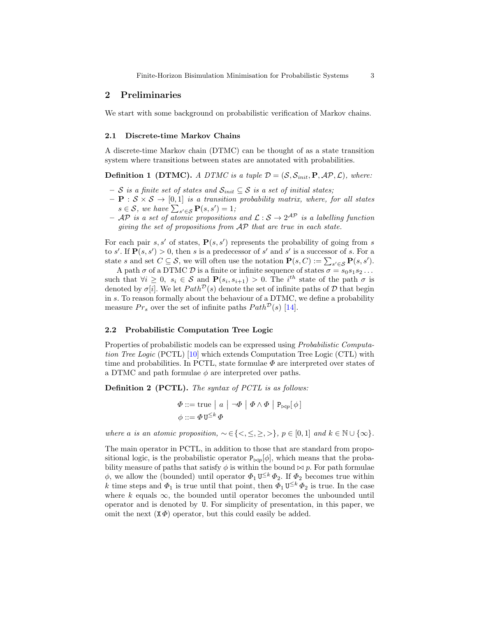### 2 Preliminaries

We start with some background on probabilistic verification of Markov chains.

#### 2.1 Discrete-time Markov Chains

A discrete-time Markov chain (DTMC) can be thought of as a state transition system where transitions between states are annotated with probabilities.

**Definition 1 (DTMC).** A DTMC is a tuple  $\mathcal{D} = (\mathcal{S}, \mathcal{S}_{init}, P, \mathcal{AP}, \mathcal{L})$ , where:

- $− S$  is a finite set of states and  $\mathcal{S}_{init} \subseteq \mathcal{S}$  is a set of initial states;
- $\mathbf{P} : S \times S \rightarrow [0,1]$  is a transition probability matrix, where, for all states  $s \in \mathcal{S}$ , we have  $\sum_{s' \in \mathcal{S}} \mathbf{P}(s, s') = 1$ ;
- $-$  AP is a set of atomic propositions and  $\mathcal{L}: \mathcal{S} \to 2^{\mathcal{AP}}$  is a labelling function giving the set of propositions from AP that are true in each state.

For each pair s, s' of states,  $P(s, s')$  represents the probability of going from s to s'. If  $\mathbf{P}(s, s') > 0$ , then s is a predecessor of s' and s' is a successor of s. For a state s and set  $C \subseteq \mathcal{S}$ , we will often use the notation  $\mathbf{P}(s, C) := \sum_{s' \in \mathcal{S}} \mathbf{P}(s, s')$ .

A path  $\sigma$  of a DTMC  $\mathcal D$  is a finite or infinite sequence of states  $\sigma = s_0s_1s_2 \ldots$ such that  $\forall i \geq 0, s_i \in \mathcal{S}$  and  $\mathbf{P}(s_i, s_{i+1}) > 0$ . The i<sup>th</sup> state of the path  $\sigma$  is denoted by  $\sigma[i]$ . We let  $Path^{\mathcal{D}}(s)$  denote the set of infinite paths of  $\mathcal{D}$  that begin in s. To reason formally about the behaviour of a DTMC, we define a probability measure  $Pr_s$  over the set of infinite paths  $Path<sup>D</sup>(s)$  [\[14\]](#page-16-8).

### 2.2 Probabilistic Computation Tree Logic

Properties of probabilistic models can be expressed using Probabilistic Computation Tree Logic (PCTL) [\[10\]](#page-16-3) which extends Computation Tree Logic (CTL) with time and probabilities. In PCTL, state formulae  $\Phi$  are interpreted over states of a DTMC and path formulae  $\phi$  are interpreted over paths.

<span id="page-2-0"></span>Definition 2 (PCTL). The syntax of PCTL is as follows:

$$
\begin{aligned} \varPhi &::= \text{true} \bigm| a \bigm| \neg \varPhi \bigm| \varPhi \land \varPhi \bigm| \mathsf{P}_{\bowtie p}[\phi] \\ \phi &::= \varPhi \mathsf{U}^{\leq k} \varPhi \end{aligned}
$$

where a is an atomic proposition,  $\sim \in \{ \langle \leq, \leq, \geq \rangle \}$ ,  $p \in [0,1]$  and  $k \in \mathbb{N} \cup \{ \infty \}$ .

The main operator in PCTL, in addition to those that are standard from propositional logic, is the probabilistic operator  $P_{\bowtie p}[\phi]$ , which means that the probability measure of paths that satisfy  $\phi$  is within the bound  $\bowtie$  p. For path formulae  $\phi$ , we allow the (bounded) until operator  $\Phi_1 \mathbb{U}^{\leq k} \Phi_2$ . If  $\Phi_2$  becomes true within k time steps and  $\Phi_1$  is true until that point, then  $\Phi_1 \mathbf{U}^{\leq k} \Phi_2$  is true. In the case where  $k$  equals  $\infty$ , the bounded until operator becomes the unbounded until operator and is denoted by U. For simplicity of presentation, in this paper, we omit the next  $(\mathbf{X} \Phi)$  operator, but this could easily be added.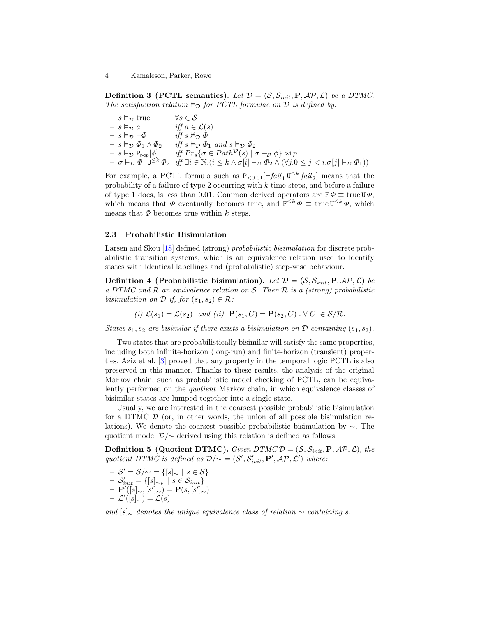**Definition 3 (PCTL semantics).** Let  $\mathcal{D} = (\mathcal{S}, \mathcal{S}_{init}, P, \mathcal{AP}, \mathcal{L})$  be a DTMC. The satisfaction relation  $\models_{\mathcal{D}}$  for PCTL formulae on  $\mathcal D$  is defined by:

 $- s \vDash_{\mathcal{D}} \text{true}$   $\forall s \in \mathcal{S}$  $- s \vDash_{\mathcal{D}} a$  iff  $a \in \mathcal{L}(s)$ <br>  $- s \vDash_{\mathcal{D}} \neg \Phi$  iff  $s \nvDash_{\mathcal{D}} \Phi$  $- s \vDash_{\mathcal{D}} \neg \Phi$ <br>  $- s \vDash_{\mathcal{D}} \Phi_1 \wedge \Phi_2$ iff  $s \vDash_{\mathcal{D}} \Phi_1$  and  $s \vDash_{\mathcal{D}} \Phi_2$  $- s \vDash_{\mathcal{D}} \mathsf{P}_{\bowtie p}[\phi] \quad \text{iff } Pr_s\{\sigma \in Path^{\mathcal{D}}(s) \mid \sigma \vDash_{\mathcal{D}} \phi\} \bowtie p.$  $- \sigma \vDash_{\mathcal{D}} \Phi_1 \mathbf{U}^{\leq k} \Phi_2 \quad \text{iff } \exists i \in \mathbb{N}.(i \leq k \wedge \sigma[i] \vDash_{\mathcal{D}} \Phi_2 \wedge (\forall j. 0 \leq j < i.\sigma[j] \vDash_{\mathcal{D}} \Phi_1))$ 

For example, a PCTL formula such as  $P_{< 0.01}[\neg fail_1 U^{\leq k} fail_2]$  means that the probability of a failure of type 2 occurring with  $k$  time-steps, and before a failure of type 1 does, is less than 0.01. Common derived operators are  $\mathbf{F}\Phi \equiv \text{true}\mathbf{U}\Phi$ , which means that  $\Phi$  eventually becomes true, and  $\mathbf{F}^{\leq k} \Phi \equiv \text{true } \mathbf{U}^{\leq k} \Phi$ , which means that  $\Phi$  becomes true within k steps.

### 2.3 Probabilistic Bisimulation

Larsen and Skou [\[18\]](#page-17-1) defined (strong) probabilistic bisimulation for discrete probabilistic transition systems, which is an equivalence relation used to identify states with identical labellings and (probabilistic) step-wise behaviour.

**Definition 4 (Probabilistic bisimulation).** Let  $\mathcal{D} = (\mathcal{S}, \mathcal{S}_{init}, P, \mathcal{AP}, \mathcal{L})$  be a DTMC and  $R$  an equivalence relation on  $S$ . Then  $R$  is a (strong) probabilistic bisimulation on  $D$  if, for  $(s_1, s_2) \in \mathcal{R}$ :

(i) 
$$
\mathcal{L}(s_1) = \mathcal{L}(s_2)
$$
 and (ii)  $\mathbf{P}(s_1, C) = \mathbf{P}(s_2, C) \cdot \forall C \in \mathcal{S}/\mathcal{R}$ .

States  $s_1, s_2$  are bisimilar if there exists a bisimulation on D containing  $(s_1, s_2)$ .

Two states that are probabilistically bisimilar will satisfy the same properties, including both infinite-horizon (long-run) and finite-horizon (transient) properties. Aziz et al. [\[3\]](#page-16-9) proved that any property in the temporal logic PCTL is also preserved in this manner. Thanks to these results, the analysis of the original Markov chain, such as probabilistic model checking of PCTL, can be equivalently performed on the quotient Markov chain, in which equivalence classes of bisimilar states are lumped together into a single state.

Usually, we are interested in the coarsest possible probabilistic bisimulation for a DTMC  $\mathcal{D}$  (or, in other words, the union of all possible bisimulation relations). We denote the coarsest possible probabilistic bisimulation by ∼. The quotient model  $\mathcal{D}/\sim$  derived using this relation is defined as follows.

**Definition 5 (Quotient DTMC).** Given DTMC  $\mathcal{D} = (\mathcal{S}, \mathcal{S}_{init}, P, \mathcal{AP}, \mathcal{L})$ , the quotient DTMC is defined as  $\mathcal{D}/\sim = (\mathcal{S}', \mathcal{S}'_{init}, \mathbf{P}', \mathcal{AP}, \mathcal{L}')$  where:

$$
\begin{aligned}\n- \mathcal{S}' &= \mathcal{S}/\sim = \{[s]_{\sim} \mid s \in \mathcal{S}\} \\
- \mathcal{S}'_{init} &= \{[s]_{\sim_k} \mid s \in \mathcal{S}_{init}\} \\
- \mathbf{P}'([s]_{\sim}, [s']_{\sim}) &= \mathbf{P}(s, [s']_{\sim}) \\
- \mathcal{L}'([s]_{\sim}) &= \mathcal{L}(s)\n\end{aligned}
$$

and  $|s|_{\sim}$  denotes the unique equivalence class of relation  $\sim$  containing s.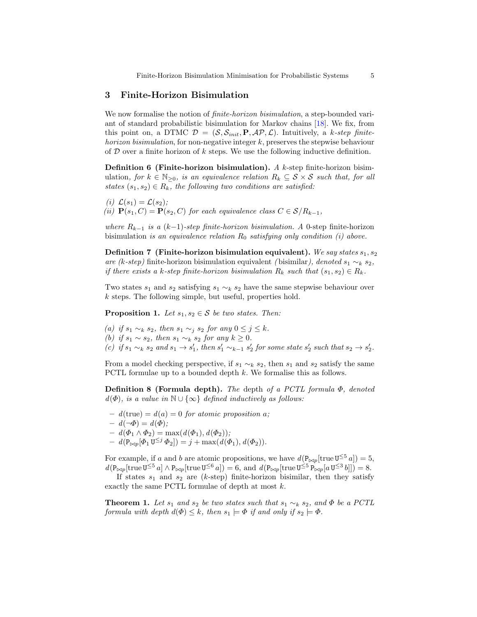## 3 Finite-Horizon Bisimulation

We now formalise the notion of *finite-horizon bisimulation*, a step-bounded variant of standard probabilistic bisimulation for Markov chains [\[18\]](#page-17-1). We fix, from this point on, a DTMC  $\mathcal{D} = (\mathcal{S}, \mathcal{S}_{init}, P, \mathcal{AP}, \mathcal{L})$ . Intuitively, a k-step finitehorizon bisimulation, for non-negative integer  $k$ , preserves the stepwise behaviour of  $D$  over a finite horizon of k steps. We use the following inductive definition.

<span id="page-4-2"></span>**Definition 6 (Finite-horizon bisimulation).** A k-step finite-horizon bisimulation, for  $k \in \mathbb{N}_{\geq 0}$ , is an equivalence relation  $R_k \subseteq S \times S$  such that, for all states  $(s_1, s_2) \in R_k$ , the following two conditions are satisfied:

(i) 
$$
\mathcal{L}(s_1) = \mathcal{L}(s_2);
$$
  
(ii)  $\mathbf{P}(s_1, C) = \mathbf{P}(s_2, C)$  for each equivalence class  $C \in \mathcal{S}/R_{k-1}$ ,

where  $R_{k-1}$  is a  $(k-1)$ -step finite-horizon bisimulation. A 0-step finite-horizon bisimulation is an equivalence relation  $R_0$  satisfying only condition (i) above.

Definition 7 (Finite-horizon bisimulation equivalent). We say states  $s_1, s_2$ are (k-step) finite-horizon bisimulation equivalent ( bisimilar), denoted  $s_1 \sim_k s_2$ , if there exists a k-step finite-horizon bisimulation  $R_k$  such that  $(s_1, s_2) \in R_k$ .

Two states  $s_1$  and  $s_2$  satisfying  $s_1 \sim_k s_2$  have the same stepwise behaviour over k steps. The following simple, but useful, properties hold.

**Proposition 1.** Let  $s_1, s_2 \in \mathcal{S}$  be two states. Then:

- (a) if  $s_1 \sim_k s_2$ , then  $s_1 \sim_j s_2$  for any  $0 \le j \le k$ .
- (b) if  $s_1 \sim s_2$ , then  $s_1 \sim_k s_2$  for any  $k \geq 0$ .
- (c) if  $s_1 \sim_k s_2$  and  $s_1 \to s'_1$ , then  $s'_1 \sim_{k-1} s'_2$  for some state  $s'_2$  such that  $s_2 \to s'_2$ .

From a model checking perspective, if  $s_1 \sim_k s_2$ , then  $s_1$  and  $s_2$  satisfy the same PCTL formulae up to a bounded depth k. We formalise this as follows.

<span id="page-4-0"></span>**Definition 8 (Formula depth).** The depth of a PCTL formula  $\Phi$ , denoted  $d(\Phi)$ , is a value in  $\mathbb{N} \cup \{\infty\}$  defined inductively as follows:

- $-d$ (true) =  $d(a) = 0$  for atomic proposition a;  $- d(\neg \Phi) = d(\Phi);$
- $d(\Phi_1 \wedge \Phi_2) = \max(d(\Phi_1), d(\Phi_2));$
- $d(P_{\bowtie p}[\Phi_1 \mathbf{U}^{\leq j} \Phi_2]) = j + \max(d(\Phi_1), d(\Phi_2)).$

For example, if a and b are atomic propositions, we have  $d(P_{\bowtie p}[true] \cup \{5 \} a]) = 5$ ,  $d(P_{\bowtie p}[\text{true U}^{\leq 5} a] \wedge P_{\bowtie p}[\text{true U}^{\leq 6} a]) = 6$ , and  $d(P_{\bowtie p}[\text{true U}^{\leq 5} P_{\bowtie p}[a U^{\leq 3} b]]) = 8$ .

If states  $s_1$  and  $s_2$  are (k-step) finite-horizon bisimilar, then they satisfy exactly the same PCTL formulae of depth at most k.

<span id="page-4-1"></span>**Theorem 1.** Let s<sub>1</sub> and s<sub>2</sub> be two states such that s<sub>1</sub>  $\sim_k$  s<sub>2</sub>, and  $\Phi$  be a PCTL formula with depth  $d(\Phi) \leq k$ , then  $s_1 \models \Phi$  if and only if  $s_2 \models \Phi$ .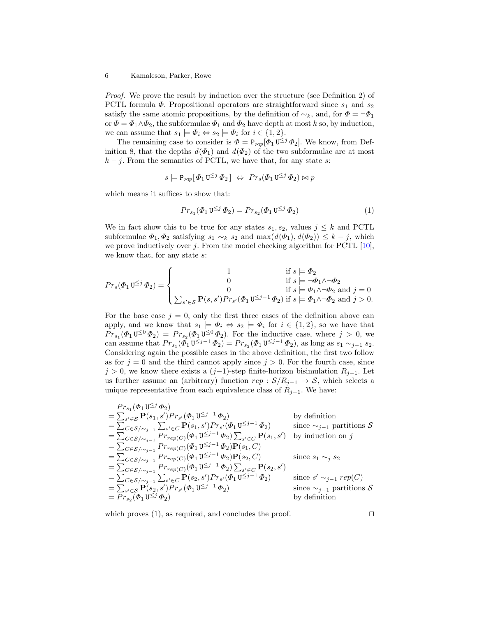Proof. We prove the result by induction over the structure (see Definition [2\)](#page-2-0) of PCTL formula  $\Phi$ . Propositional operators are straightforward since  $s_1$  and  $s_2$ satisfy the same atomic propositions, by the definition of  $\sim_k$ , and, for  $\Phi = \neg \Phi_1$ or  $\Phi = \Phi_1 \wedge \Phi_2$ , the subformulae  $\Phi_1$  and  $\Phi_2$  have depth at most k so, by induction, we can assume that  $s_1 \models \Phi_i \Leftrightarrow s_2 \models \Phi_i$  for  $i \in \{1, 2\}.$ 

The remaining case to consider is  $\Phi = \mathbb{P}_{\bowtie p}[\Phi_1 \mathbb{U}^{\leq j} \Phi_2]$ . We know, from Def-inition [8,](#page-4-0) that the depths  $d(\Phi_1)$  and  $d(\Phi_2)$  of the two subformulae are at most  $k - j$ . From the semantics of PCTL, we have that, for any state s:

$$
s \models \mathbf{P}_{\bowtie p}[\Phi_1 \mathbf{U}^{\leq j} \Phi_2] \ \Leftrightarrow \ Pr_s(\Phi_1 \mathbf{U}^{\leq j} \Phi_2) \bowtie p
$$

which means it suffices to show that:

<span id="page-5-0"></span>
$$
Pr_{s_1}(\Phi_1 \mathbf{U}^{\leq j} \Phi_2) = Pr_{s_2}(\Phi_1 \mathbf{U}^{\leq j} \Phi_2)
$$
 (1)

We in fact show this to be true for any states  $s_1, s_2$ , values  $j \leq k$  and PCTL subformulae  $\Phi_1, \Phi_2$  satisfying  $s_1 \sim_k s_2$  and  $\max(d(\Phi_1), d(\Phi_2)) \leq k - j$ , which we prove inductively over j. From the model checking algorithm for PCTL  $[10]$ , we know that, for any state s:

$$
Pr_s(\Phi_1 \mathbf{U}^{\leq j} \Phi_2) = \left\{ \begin{matrix} 1 & \text{if } s \models \Phi_2 \\ 0 & \text{if } s \models \neg \Phi_1 \wedge \neg \Phi_2 \\ 0 & \text{if } s \models \Phi_1 \wedge \neg \Phi_2 \\ \sum_{s' \in \mathcal{S}} \mathbf{P}(s, s') Pr_{s'}(\Phi_1 \mathbf{U}^{\leq j-1} \Phi_2) & \text{if } s \models \Phi_1 \wedge \neg \Phi_2 \text{ and } j = 0 \end{matrix} \right.
$$

For the base case  $j = 0$ , only the first three cases of the definition above can apply, and we know that  $s_1 \models \Phi_i \Leftrightarrow s_2 \models \Phi_i$  for  $i \in \{1,2\}$ , so we have that  $Pr_{s_1}(\Phi_1 \mathbf{U}^{\leq 0} \Phi_2) = Pr_{s_2}(\Phi_1 \mathbf{U}^{\leq 0} \Phi_2)$ . For the inductive case, where  $j > 0$ , we can assume that  $Pr_{s_1}(\Phi_1 \mathbf{U}^{\leq j-1} \Phi_2) = Pr_{s_2}(\Phi_1 \mathbf{U}^{\leq j-1} \Phi_2)$ , as long as  $s_1 \sim_{j-1} s_2$ . Considering again the possible cases in the above definition, the first two follow as for  $j = 0$  and the third cannot apply since  $j > 0$ . For the fourth case, since  $j > 0$ , we know there exists a  $(j-1)$ -step finite-horizon bisimulation  $R_{j-1}$ . Let us further assume an (arbitrary) function  $rep : S/R_{j-1} \to S$ , which selects a unique representative from each equivalence class of  $R_{j-1}$ . We have:

$$
Pr_{s_1}(\Phi_1 \mathbf{U}^{\leq j} \Phi_2)
$$
  
\n
$$
= \sum_{c \in S/\sim_{j-1}} \sum_{s' \in C} \mathbf{P}(s_1, s') Pr_{s'}(\Phi_1 \mathbf{U}^{\leq j-1} \Phi_2)
$$
 by definition  
\n
$$
= \sum_{C \in S/\sim_{j-1}} Pr_{rep(C)}(\Phi_1 \mathbf{U}^{\leq j-1} \Phi_2) \sum_{s' \in C} \mathbf{P}(s_1, s')
$$
 by induction on j  
\n
$$
= \sum_{C \in S/\sim_{j-1}} Pr_{rep(C)}(\Phi_1 \mathbf{U}^{\leq j-1} \Phi_2) \sum_{s' \in C} \mathbf{P}(s_1, s')
$$
 by induction on j  
\n
$$
= \sum_{C \in S/\sim_{j-1}} Pr_{rep(C)}(\Phi_1 \mathbf{U}^{\leq j-1} \Phi_2) \mathbf{P}(s_1, C)
$$
  
\n
$$
= \sum_{C \in S/\sim_{j-1}} Pr_{rep(C)}(\Phi_1 \mathbf{U}^{\leq j-1} \Phi_2) \mathbf{P}(s_2, C)
$$
 since  $s_1 \sim_j s_2$   
\n
$$
= \sum_{C \in S/\sim_{j-1}} Pr_{rep(C)}(\Phi_1 \mathbf{U}^{\leq j-1} \Phi_2) \sum_{s' \in C} \mathbf{P}(s_2, s')
$$
  
\n
$$
= \sum_{C \in S/\sim_{j-1}} \sum_{s' \in C} \mathbf{P}(s_2, s') Pr_{s'}(\Phi_1 \mathbf{U}^{\leq j-1} \Phi_2)
$$
 since  $s' \sim_{j-1}$   $rep(C)$   
\n
$$
= \sum_{s' \in S} \mathbf{P}(s_2, s') Pr_{s'}(\Phi_1 \mathbf{U}^{\leq j-1} \Phi_2)
$$
 since  $\sim_{j-1}$  partitions  $S$   
\n
$$
= Pr_{s_2}(\Phi_1 \mathbf{U}^{\leq j} \Phi_2)
$$
 by definition

which proves  $(1)$ , as required, and concludes the proof.  $\Box$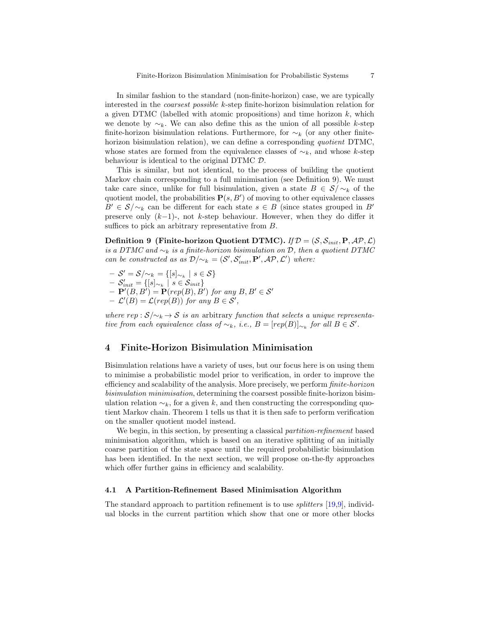In similar fashion to the standard (non-finite-horizon) case, we are typically interested in the coarsest possible k-step finite-horizon bisimulation relation for a given DTMC (labelled with atomic propositions) and time horizon  $k$ , which we denote by  $\sim_k$ . We can also define this as the union of all possible k-step finite-horizon bisimulation relations. Furthermore, for  $\sim_k$  (or any other finitehorizon bisimulation relation), we can define a corresponding *quotient* DTMC, whose states are formed from the equivalence classes of  $\sim_k$ , and whose k-step behaviour is identical to the original DTMC D.

This is similar, but not identical, to the process of building the quotient Markov chain corresponding to a full minimisation (see Definition [9\)](#page-6-0). We must take care since, unlike for full bisimulation, given a state  $B \in S/\sim_k$  of the quotient model, the probabilities  $P(s, B')$  of moving to other equivalence classes  $B' \in \mathcal{S}/\sim_k$  can be different for each state  $s \in B$  (since states grouped in B' preserve only  $(k-1)$ -, not k-step behaviour. However, when they do differ it suffices to pick an arbitrary representative from B.

<span id="page-6-0"></span>Definition 9 (Finite-horizon Quotient DTMC). If  $\mathcal{D} = (\mathcal{S}, \mathcal{S}_{init}, P, \mathcal{AP}, \mathcal{L})$ is a DTMC and  $\sim_k$  is a finite-horizon bisimulation on D, then a quotient DTMC can be constructed as as  $\mathcal{D}/\!\!\sim_k = (\mathcal{S}', \mathcal{S}'_{init}, \mathbf{P}', \mathcal{AP}, \mathcal{L}')$  where:

 $-\mathcal{S}'=\mathcal{S}/\mathbb{1}_k=\{[s]_{\sim_k} \mid s \in \mathcal{S}\}$  $- \left. \mathcal{S}'_{init} = \{ [s]_{\thicksim_k} \; \vert \; s \in \mathcal{S}_{init} \}$  $- \mathbf{P}'(B, B') = \mathbf{P}(rep(B), B')$  for any  $B, B' \in \mathcal{S}'$  $- \mathcal{L}'(B) = \mathcal{L}(rep(B))$  for any  $B \in \mathcal{S}'$ ,

where rep :  $S/\sim_k \to S$  is an arbitrary function that selects a unique representative from each equivalence class of  $\sim_k$ , i.e.,  $B = [rep(B)]_{\sim_k}$  for all  $B \in \mathcal{S}'$ .

# <span id="page-6-1"></span>4 Finite-Horizon Bisimulation Minimisation

Bisimulation relations have a variety of uses, but our focus here is on using them to minimise a probabilistic model prior to verification, in order to improve the efficiency and scalability of the analysis. More precisely, we perform finite-horizon bisimulation minimisation, determining the coarsest possible finite-horizon bisimulation relation  $\sim_k$ , for a given k, and then constructing the corresponding quotient Markov chain. Theorem [1](#page-4-1) tells us that it is then safe to perform verification on the smaller quotient model instead.

We begin, in this section, by presenting a classical partition-refinement based minimisation algorithm, which is based on an iterative splitting of an initially coarse partition of the state space until the required probabilistic bisimulation has been identified. In the next section, we will propose on-the-fly approaches which offer further gains in efficiency and scalability.

### 4.1 A Partition-Refinement Based Minimisation Algorithm

The standard approach to partition refinement is to use splitters [\[19](#page-17-5)[,9\]](#page-16-5), individual blocks in the current partition which show that one or more other blocks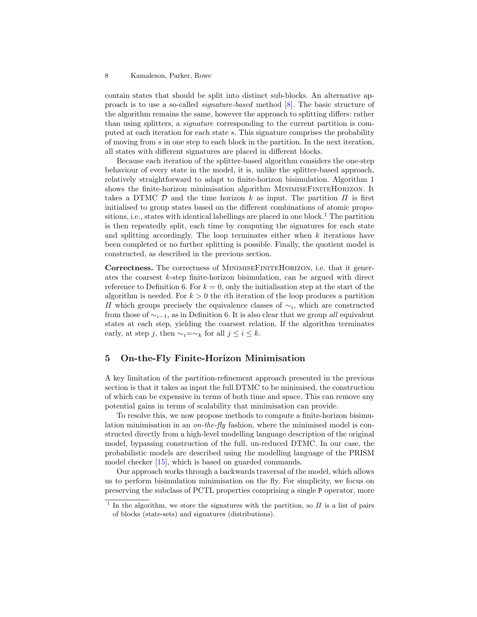contain states that should be split into distinct sub-blocks. An alternative approach is to use a so-called signature-based method [\[8\]](#page-16-10). The basic structure of the algorithm remains the same, however the approach to splitting differs: rather than using splitters, a signature corresponding to the current partition is computed at each iteration for each state s. This signature comprises the probability of moving from s in one step to each block in the partition. In the next iteration, all states with different signatures are placed in different blocks.

Because each iteration of the splitter-based algorithm considers the one-step behaviour of every state in the model, it is, unlike the splitter-based approach, relatively straightforward to adapt to finite-horizon bisimulation. Algorithm [1](#page-8-0) shows the finite-horizon minimisation algorithm MINIMISEFINITEHORIZON. It takes a DTMC  $\mathcal D$  and the time horizon k as input. The partition  $\Pi$  is first initialised to group states based on the different combinations of atomic propo-sitions, i.e., states with identical labellings are placed in one block.<sup>[1](#page-7-0)</sup> The partition is then repeatedly split, each time by computing the signatures for each state and splitting accordingly. The loop terminates either when  $k$  iterations have been completed or no further splitting is possible. Finally, the quotient model is constructed, as described in the previous section.

Correctness. The correctness of MINIMISEFINITEHORIZON, i.e. that it generates the coarsest k-step finite-horizon bisimulation, can be argued with direct reference to Definition [6.](#page-4-2) For  $k = 0$ , only the initialisation step at the start of the algorithm is needed. For  $k > 0$  the *i*th iteration of the loop produces a partition  $\Pi$  which groups precisely the equivalence classes of  $\sim_i$ , which are constructed from those of  $\sim_{i-1}$ , as in Definition [6.](#page-4-2) It is also clear that we group *all* equivalent states at each step, yielding the coarsest relation. If the algorithm terminates early, at step j, then  $\sim_i = \sim_k$  for all  $j \leq i \leq k$ .

# <span id="page-7-1"></span>5 On-the-Fly Finite-Horizon Minimisation

A key limitation of the partition-refinement approach presented in the previous section is that it takes as input the full DTMC to be minimised, the construction of which can be expensive in terms of both time and space. This can remove any potential gains in terms of scalability that minimisation can provide.

To resolve this, we now propose methods to compute a finite-horizon bisimulation minimisation in an *on-the-fly* fashion, where the minimised model is constructed directly from a high-level modelling language description of the original model, bypassing construction of the full, un-reduced DTMC. In our case, the probabilistic models are described using the modelling language of the PRISM model checker [\[15\]](#page-17-0), which is based on guarded commands.

Our approach works through a backwards traversal of the model, which allows us to perform bisimulation minimisation on the fly. For simplicity, we focus on preserving the subclass of PCTL properties comprising a single P operator, more

<span id="page-7-0"></span><sup>&</sup>lt;sup>1</sup> In the algorithm, we store the signatures with the partition, so  $\Pi$  is a list of pairs of blocks (state-sets) and signatures (distributions).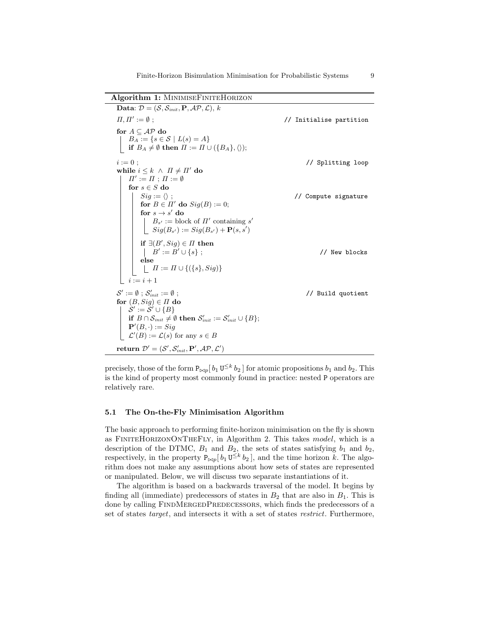Algorithm 1: MINIMISEFINITEHORIZON

Data:  $\mathcal{D} = (\mathcal{S}, \mathcal{S}_{init}, P, \mathcal{AP}, \mathcal{L}), k$  $\Pi, \Pi' := \emptyset$ ; // Initialise partition for  $A \subseteq \mathcal{AP}$  do  $B_A := \{ s \in \mathcal{S} \mid L(s) = A \}$ if  $B_A \neq \emptyset$  then  $\Pi := \Pi \cup (\{B_A\}, \langle \rangle);$ i := 0 ; // Splitting loop while  $i \leq k \land \Pi \neq \Pi'$  do  $\Pi' := \Pi$ ;  $\Pi := \emptyset$ for  $s \in S$  do  $Sig := \langle \rangle$ ; // Compute signature for  $B \in \Pi'$  do  $Sig(B) := 0;$ for  $s \to s'$  do  $B_{s'} := \text{block of } \Pi' \text{ containing } s'$  $Sig(B_{s'}) := Sig(B_{s'}) + P(s, s')$ if  $\exists (B', Sig) \in \Pi$  then  $B' := B' \cup \{s\}$ ; // New blocks else  $\Box$   $\Pi := \Pi \cup \{(\{s\}, Sig)\}$  $i := i + 1$  $\mathcal{S}':=\emptyset$  ;  $\mathcal{S}'_i$ // Build quotient for  $(B, Sig) \in \Pi$  do  $\mathcal{S}':=\mathcal{S}'\cup\{B\}$ if  $B \cap \mathcal{S}_{init} \neq \emptyset$  then  $\mathcal{S}'_{init} := \mathcal{S}'_{init} \cup \{B\};$  $\mathbf{P}'(B,\cdot) := Sig$  $\mathcal{L}'(B) := \mathcal{L}(s)$  for any  $s \in B$  $\textbf{return }\mathcal{D}'=(\mathcal{S}',\mathcal{S}'_{init},\textbf{P}',\mathcal{AP},\mathcal{L}')$ 

<span id="page-8-0"></span>precisely, those of the form  $P_{\bowtie p}$   $b_1 \mathbf{U}^{\leq k}$   $b_2$  ] for atomic propositions  $b_1$  and  $b_2$ . This is the kind of property most commonly found in practice: nested P operators are relatively rare.

# 5.1 The On-the-Fly Minimisation Algorithm

The basic approach to performing finite-horizon minimisation on the fly is shown as FINITEHORIZONONTHEFLY, in Algorithm [2.](#page-9-0) This takes model, which is a description of the DTMC,  $B_1$  and  $B_2$ , the sets of states satisfying  $b_1$  and  $b_2$ , respectively, in the property  $P_{\bowtie p}$  [ $b_1 \mathbf{U}^{\leq k}$   $b_2$ ], and the time horizon k. The algorithm does not make any assumptions about how sets of states are represented or manipulated. Below, we will discuss two separate instantiations of it.

The algorithm is based on a backwards traversal of the model. It begins by finding all (immediate) predecessors of states in  $B_2$  that are also in  $B_1$ . This is done by calling FINDMERGEDPREDECESSORS, which finds the predecessors of a set of states target, and intersects it with a set of states restrict. Furthermore,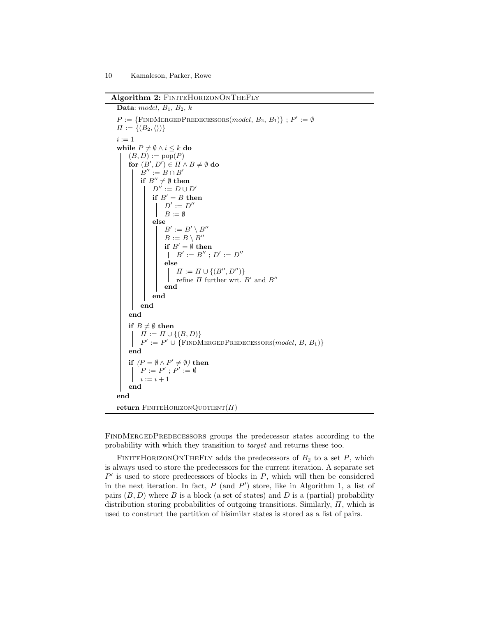Algorithm 2: FINITEHORIZONONTHEFLY

```
Data: model, B_1, B_2, kP := \{\text{FINDMERGEDPREDECESSORS}(model, B_2, B_1)\}; P' := \emptyset\Pi := \{(B_2,\langle\rangle)\}\i := 1while P \neq \emptyset \wedge i \leq k do
    (B, D) := \text{pop}(P)for (B', D') \in \Pi \wedge B \neq \emptyset do
          B'':=B\cap B'if B'' \neq \emptyset then
              D'' := D \cup D'if B' = B then
                   D' := D''B := \emptysetelse
                   B' := B' \setminus B''B := B \setminus B''if B' = \emptyset then
                        B' := B''; D' := D''else
                        \Pi := \Pi \cup \{(B'', D'')\}refine \Pi further wrt. B' and B''end
              end
         end
    end
    if B \neq \emptyset then
        \Pi := \Pi \cup \{(B,D)\}\P' := P' \cup \{\text{FINDMERGEDPREDECESSORS}(model, B, B_1)\}\end
     if (P = \emptyset \land P' \neq \emptyset) then
          P := P'; P' := \emptyseti := i + 1end
end
return FINITEHORIZONQUOTIENT(\Pi)
```
<span id="page-9-0"></span>FindMergedPredecessors groups the predecessor states according to the probability with which they transition to target and returns these too.

FINITEHORIZONONTHEFLY adds the predecessors of  $B_2$  to a set  $P$ , which is always used to store the predecessors for the current iteration. A separate set  $P'$  is used to store predecessors of blocks in  $P$ , which will then be considered in the next iteration. In fact,  $P$  (and  $P'$ ) store, like in Algorithm [1,](#page-8-0) a list of pairs  $(B, D)$  where B is a block (a set of states) and D is a (partial) probability distribution storing probabilities of outgoing transitions. Similarly,  $\Pi$ , which is used to construct the partition of bisimilar states is stored as a list of pairs.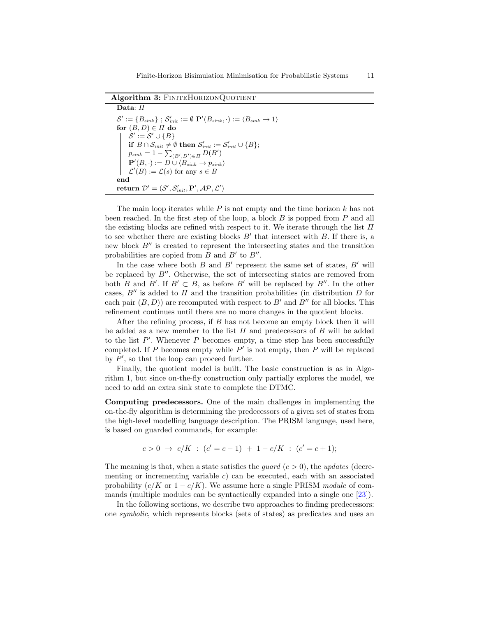Algorithm 3: FINITEHORIZONQUOTIENT

Data: Π  $\mathcal{S}' := \{B_{sink}\} \; ; \; \mathcal{S}'_{init} := \emptyset \; \mathbf{P}'(B_{sink}, \cdot) := \langle B_{sink} \rightarrow 1 \rangle$ for  $(B, D) \in \Pi$  do  $\mathcal{S}':=\mathcal{S}'\cup\{B\}$  $\textbf{if}\,\, B\cap{\mathcal S}_{init}\neq\emptyset \textbf{ then } {\mathcal S}'_{init}:= {\mathcal S}'_{init}\cup\{B\};$  $p_{sink} = 1 - \sum_{(B', D') \in \Pi} D(B')$  $\mathbf{P}'(B,\cdot):=D\cup \langle B_{sink}\rightarrow p_{sink}\rangle$  $\mathcal{L}'(B) := \mathcal{L}(s)$  for any  $s \in B$ end  $\textbf{return }\mathcal{D}'=(\mathcal{S}',\mathcal{S}'_{init},\textbf{P}',\mathcal{AP},\mathcal{L}')$ 

The main loop iterates while  $P$  is not empty and the time horizon  $k$  has not been reached. In the first step of the loop, a block  $B$  is popped from  $P$  and all the existing blocks are refined with respect to it. We iterate through the list  $\Pi$ to see whether there are existing blocks  $B'$  that intersect with  $B$ . If there is, a new block  $B''$  is created to represent the intersecting states and the transition probabilities are copied from  $B$  and  $B'$  to  $B''$ .

In the case where both  $B$  and  $B'$  represent the same set of states,  $B'$  will be replaced by  $B''$ . Otherwise, the set of intersecting states are removed from both B and B'. If  $B' \subset B$ , as before B' will be replaced by B''. In the other cases,  $B''$  is added to  $\Pi$  and the transition probabilities (in distribution  $D$  for each pair  $(B, D)$  are recomputed with respect to B' and B'' for all blocks. This refinement continues until there are no more changes in the quotient blocks.

After the refining process, if  $B$  has not become an empty block then it will be added as a new member to the list  $\Pi$  and predecessors of  $B$  will be added to the list  $P'$ . Whenever  $P$  becomes empty, a time step has been successfully completed. If  $P$  becomes empty while  $P'$  is not empty, then  $P$  will be replaced by  $P'$ , so that the loop can proceed further.

Finally, the quotient model is built. The basic construction is as in Algorithm [1,](#page-8-0) but since on-the-fly construction only partially explores the model, we need to add an extra sink state to complete the DTMC.

Computing predecessors. One of the main challenges in implementing the on-the-fly algorithm is determining the predecessors of a given set of states from the high-level modelling language description. The PRISM language, used here, is based on guarded commands, for example:

$$
c > 0 \ \to \ c/K \ : \ (c' = c - 1) \ + \ 1 - c/K \ : \ (c' = c + 1);
$$

The meaning is that, when a state satisfies the *quard*  $(c > 0)$ , the *updates* (decrementing or incrementing variable  $c$ ) can be executed, each with an associated probability  $(c/K \text{ or } 1 - c/K)$ . We assume here a single PRISM module of commands (multiple modules can be syntactically expanded into a single one [\[23\]](#page-17-6)).

In the following sections, we describe two approaches to finding predecessors: one symbolic, which represents blocks (sets of states) as predicates and uses an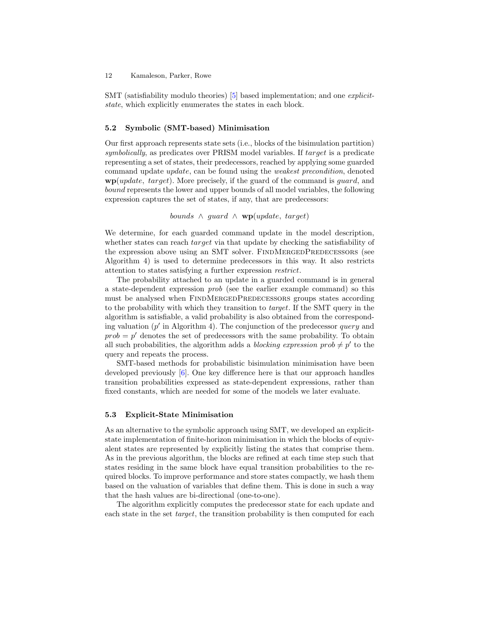SMT (satisfiability modulo theories) [\[5\]](#page-16-11) based implementation; and one explicitstate, which explicitly enumerates the states in each block.

### 5.2 Symbolic (SMT-based) Minimisation

Our first approach represents state sets (i.e., blocks of the bisimulation partition) symbolically, as predicates over PRISM model variables. If target is a predicate representing a set of states, their predecessors, reached by applying some guarded command update update, can be found using the weakest precondition, denoted  $wp(update, target)$ . More precisely, if the guard of the command is *guard*, and bound represents the lower and upper bounds of all model variables, the following expression captures the set of states, if any, that are predecessors:

```
bounds \wedge quard \wedge wp(update, target)
```
We determine, for each guarded command update in the model description, whether states can reach *target* via that update by checking the satisfiability of the expression above using an SMT solver. FINDMERGEDPREDECESSORS (see Algorithm [4\)](#page-12-0) is used to determine predecessors in this way. It also restricts attention to states satisfying a further expression restrict.

The probability attached to an update in a guarded command is in general a state-dependent expression prob (see the earlier example command) so this must be analysed when FINDMERGEDPREDECESSORS groups states according to the probability with which they transition to target. If the SMT query in the algorithm is satisfiable, a valid probability is also obtained from the corresponding valuation  $(p'$  in Algorithm [4\)](#page-12-0). The conjunction of the predecessor *query* and  $prob = p'$  denotes the set of predecessors with the same probability. To obtain all such probabilities, the algorithm adds a *blocking expression prob*  $\neq p'$  to the query and repeats the process.

SMT-based methods for probabilistic bisimulation minimisation have been developed previously [\[6\]](#page-16-6). One key difference here is that our approach handles transition probabilities expressed as state-dependent expressions, rather than fixed constants, which are needed for some of the models we later evaluate.

#### 5.3 Explicit-State Minimisation

As an alternative to the symbolic approach using SMT, we developed an explicitstate implementation of finite-horizon minimisation in which the blocks of equivalent states are represented by explicitly listing the states that comprise them. As in the previous algorithm, the blocks are refined at each time step such that states residing in the same block have equal transition probabilities to the required blocks. To improve performance and store states compactly, we hash them based on the valuation of variables that define them. This is done in such a way that the hash values are bi-directional (one-to-one).

The algorithm explicitly computes the predecessor state for each update and each state in the set target, the transition probability is then computed for each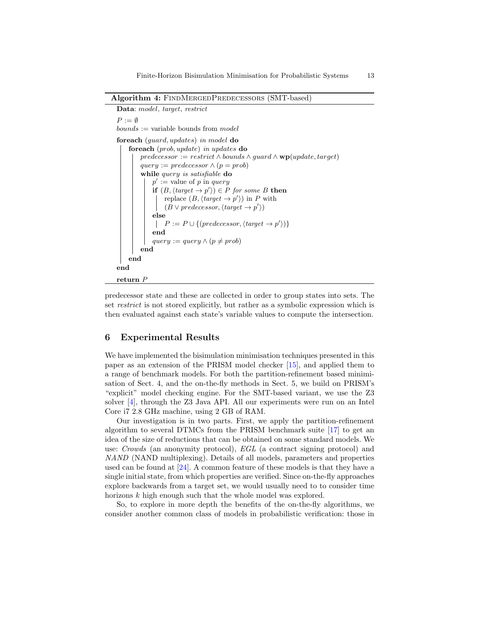| Algorithm 4: FINDMERGEDPREDECESSORS (SMT-based) |  |  |  |  |
|-------------------------------------------------|--|--|--|--|
|-------------------------------------------------|--|--|--|--|

```
Data: model, target, restrict
P := \emptysetbounds := variable bounds from model
foreach (guard, updates) in model do
    foreach (prob, update) in updates do
         predecessor := restrict \wedge bounds \wedge guard \wedge wp(update, target)query := predecessor \land (p = prob)while query is satisfiable do
              p' := value of p in query
              if (B, \langle target \rightarrow p' \rangle) \in P for some B then
                   replace (B, \langle target \rightarrow p' \rangle) in P with
                   (B \vee predecessor, \langle target \rightarrow p' \rangle)else
                   P := P \cup \{ (predecessor, \langle target \rightarrow p' \rangle) \}end
              query := query \land (p \neq prob)end
    end
end
return P
```
<span id="page-12-0"></span>predecessor state and these are collected in order to group states into sets. The set restrict is not stored explicitly, but rather as a symbolic expression which is then evaluated against each state's variable values to compute the intersection.

# 6 Experimental Results

We have implemented the bisimulation minimisation techniques presented in this paper as an extension of the PRISM model checker [\[15\]](#page-17-0), and applied them to a range of benchmark models. For both the partition-refinement based minimisation of Sect. [4,](#page-6-1) and the on-the-fly methods in Sect. [5,](#page-7-1) we build on PRISM's "explicit" model checking engine. For the SMT-based variant, we use the Z3 solver [\[4\]](#page-16-12), through the Z3 Java API. All our experiments were run on an Intel Core i7 2.8 GHz machine, using 2 GB of RAM.

Our investigation is in two parts. First, we apply the partition-refinement algorithm to several DTMCs from the PRISM benchmark suite [\[17\]](#page-17-7) to get an idea of the size of reductions that can be obtained on some standard models. We use: Crowds (an anonymity protocol), EGL (a contract signing protocol) and NAND (NAND multiplexing). Details of all models, parameters and properties used can be found at  $[24]$ . A common feature of these models is that they have a single initial state, from which properties are verified. Since on-the-fly approaches explore backwards from a target set, we would usually need to to consider time horizons k high enough such that the whole model was explored.

So, to explore in more depth the benefits of the on-the-fly algorithms, we consider another common class of models in probabilistic verification: those in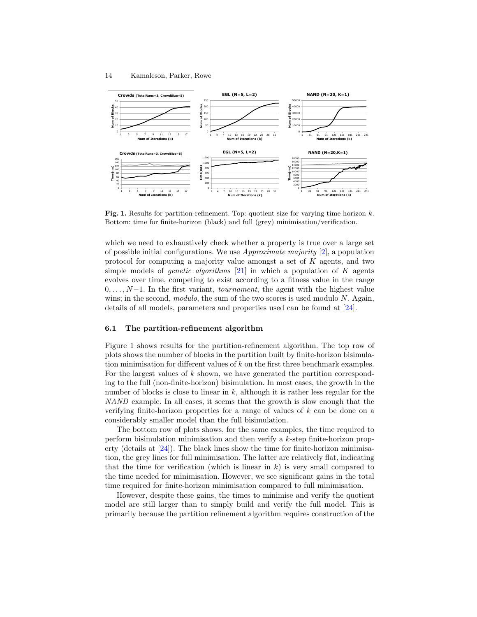

<span id="page-13-0"></span>Fig. 1. Results for partition-refinement. Top: quotient size for varying time horizon  $k$ . Bottom: time for finite-horizon (black) and full (grey) minimisation/verification.

which we need to exhaustively check whether a property is true over a large set of possible initial configurations. We use Approximate majority [\[2\]](#page-16-13), a population protocol for computing a majority value amongst a set of  $K$  agents, and two simple models of *genetic algorithms* [\[21\]](#page-17-9) in which a population of K agents evolves over time, competing to exist according to a fitness value in the range  $0, \ldots, N-1$ . In the first variant, *tournament*, the agent with the highest value wins; in the second, modulo, the sum of the two scores is used modulo  $N$ . Again, details of all models, parameters and properties used can be found at [\[24\]](#page-17-8).

#### 6.1 The partition-refinement algorithm

Figure [1](#page-13-0) shows results for the partition-refinement algorithm. The top row of plots shows the number of blocks in the partition built by finite-horizon bisimulation minimisation for different values of  $k$  on the first three benchmark examples. For the largest values of  $k$  shown, we have generated the partition corresponding to the full (non-finite-horizon) bisimulation. In most cases, the growth in the number of blocks is close to linear in  $k$ , although it is rather less regular for the NAND example. In all cases, it seems that the growth is slow enough that the verifying finite-horizon properties for a range of values of k can be done on a considerably smaller model than the full bisimulation.

The bottom row of plots shows, for the same examples, the time required to perform bisimulation minimisation and then verify a k-step finite-horizon property (details at  $[24]$ ). The black lines show the time for finite-horizon minimisation, the grey lines for full minimisation. The latter are relatively flat, indicating that the time for verification (which is linear in  $k$ ) is very small compared to the time needed for minimisation. However, we see significant gains in the total time required for finite-horizon minimisation compared to full minimisation.

However, despite these gains, the times to minimise and verify the quotient model are still larger than to simply build and verify the full model. This is primarily because the partition refinement algorithm requires construction of the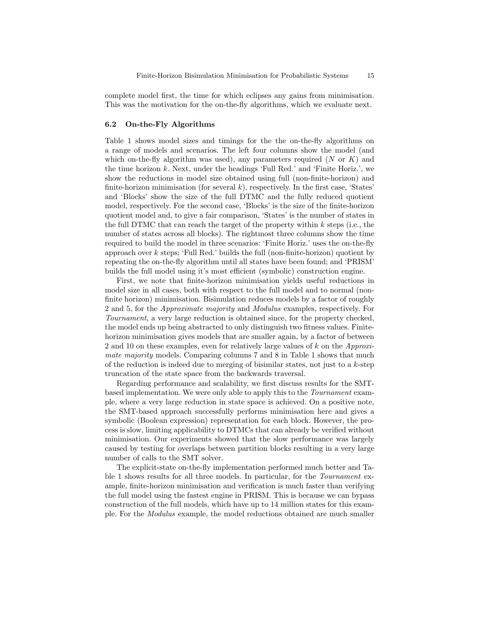complete model first, the time for which eclipses any gains from minimisation. This was the motivation for the on-the-fly algorithms, which we evaluate next.

### 6.2 On-the-Fly Algorithms

Table [1](#page-15-0) shows model sizes and timings for the the on-the-fly algorithms on a range of models and scenarios. The left four columns show the model (and which on-the-fly algorithm was used), any parameters required  $(N \text{ or } K)$  and the time horizon  $k$ . Next, under the headings 'Full Red.' and 'Finite Horiz.', we show the reductions in model size obtained using full (non-finite-horizon) and finite-horizon minimisation (for several  $k$ ), respectively. In the first case, 'States' and 'Blocks' show the size of the full DTMC and the fully reduced quotient model, respectively. For the second case, 'Blocks' is the size of the finite-horizon quotient model and, to give a fair comparison, 'States' is the number of states in the full DTMC that can reach the target of the property within  $k$  steps (i.e., the number of states across all blocks). The rightmost three columns show the time required to build the model in three scenarios: 'Finite Horiz.' uses the on-the-fly approach over  $k$  steps; 'Full Red.' builds the full (non-finite-horizon) quotient by repeating the on-the-fly algorithm until all states have been found; and 'PRISM' builds the full model using it's most efficient (symbolic) construction engine.

First, we note that finite-horizon minimisation yields useful reductions in model size in all cases, both with respect to the full model and to normal (nonfinite horizon) minimisation. Bisimulation reduces models by a factor of roughly 2 and 5, for the Approximate majority and Modulus examples, respectively. For Tournament, a very large reduction is obtained since, for the property checked, the model ends up being abstracted to only distinguish two fitness values. Finitehorizon minimisation gives models that are smaller again, by a factor of between 2 and 10 on these examples, even for relatively large values of k on the Approximate majority models. Comparing columns 7 and 8 in Table [1](#page-15-0) shows that much of the reduction is indeed due to merging of bisimilar states, not just to a  $k$ -step truncation of the state space from the backwards traversal.

Regarding performance and scalability, we first discuss results for the SMTbased implementation. We were only able to apply this to the Tournament example, where a very large reduction in state space is achieved. On a positive note, the SMT-based approach successfully performs minimisation here and gives a symbolic (Boolean expression) representation for each block. However, the process is slow, limiting applicability to DTMCs that can already be verified without minimisation. Our experiments showed that the slow performance was largely caused by testing for overlaps between partition blocks resulting in a very large number of calls to the SMT solver.

The explicit-state on-the-fly implementation performed much better and Table [1](#page-15-0) shows results for all three models. In particular, for the Tournament example, finite-horizon minimisation and verification is much faster than verifying the full model using the fastest engine in PRISM. This is because we can bypass construction of the full models, which have up to 14 million states for this example. For the Modulus example, the model reductions obtained are much smaller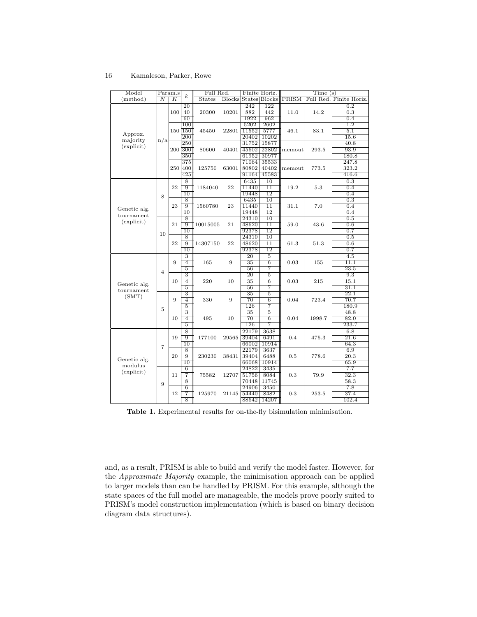| Model                                 | Param.s        |                |                           | Full Red.     |                |                 | Finite Horiz.        | Time(s)    |                |                         |
|---------------------------------------|----------------|----------------|---------------------------|---------------|----------------|-----------------|----------------------|------------|----------------|-------------------------|
| (method)                              | $\overline{N}$ | $\overline{K}$ | $_{k}$                    | <b>States</b> |                |                 | Blocks States Blocks | PRISM      |                | Full Red. Finite Horiz. |
| Approx.<br>majority<br>(explicit)     |                |                | $\overline{20}$           | 20300         | 10201          | 242             | 122                  |            | 14.2           | 0.2                     |
|                                       |                | 100            | 40                        |               |                | 882             | 442                  | 11.0       |                | 0.3                     |
|                                       |                |                | 60                        |               |                | 1922            | 962                  |            |                | 0.4                     |
|                                       |                |                | 100                       | 45450         | 22801          | 5202            | 2602                 | 46.1       | 83.1           | 1.2                     |
|                                       |                | 150            | 150                       |               |                | 11552           | 5777                 |            |                | 5.1                     |
|                                       | n/a            |                | 200                       |               |                | 20402           | 10202                |            |                | 15.6                    |
|                                       |                |                | 250                       | 80600         | 40401          | 31752           | 15877                | memout     | 293.5          | 40.8                    |
|                                       |                |                | 200 300                   |               |                | 45602           | 22802                |            |                | 93.9                    |
|                                       |                |                | 350                       |               |                | 61952           | 30977                |            |                | 180.8                   |
|                                       |                |                | 375                       | 125750        | 63001          | 71064           | 35533                | memout     | 773.5          | 247.8                   |
|                                       |                |                | $250\, \overline{400}$    |               |                | 80802           | 40402                |            |                | 323.2                   |
|                                       |                |                | 425                       |               |                | 91164           | 45583                |            |                | 416.6                   |
|                                       |                |                | 8                         | 1184040       | 22             | 6435            | 10                   | 19.2       | 5.3            | 0.3                     |
|                                       |                | 22             | 9                         |               |                | 11440           | 11                   |            |                | 0.4                     |
|                                       | 8              |                | 10                        |               |                | 19448           | $\overline{12}$      |            |                | 0.4                     |
|                                       |                |                | $\overline{8}$            | 1560780       |                | 6435            | $\overline{10}$      |            | 7.0            | $\overline{0.3}$        |
| Genetic alg.                          |                | 23             | 9                         |               | 23             | 11440           | $\overline{11}$      | 31.1       |                | 0.4                     |
| tournament                            |                |                | 10                        |               |                | 19448           | 12                   |            |                | 0.4                     |
| (explicit)                            |                |                | $\overline{8}$            | 10015005      | 21             | 24310           | $\overline{10}$      |            |                | 0.5                     |
|                                       |                | 21             | $\overline{9}$            |               |                | 48620           | $\overline{11}$      | 59.0       | 43.6           | 0.6                     |
|                                       | 10             |                | $\overline{10}$           |               |                | 92378           | 12                   |            |                | 0.7                     |
|                                       |                | 22             | 8                         | 14307150      | 22             | 24310           | 10                   | 61.3       | 51.3           | 0.5                     |
|                                       |                |                | $\overline{9}$            |               |                | 48620           | $\overline{11}$      |            |                | 0.6                     |
|                                       |                |                | $\overline{10}$           |               |                | 92378           | $\overline{12}$      |            |                | 0.7                     |
| Genetic alg.<br>tournament<br>(SMT)   |                |                | 3                         | 165           | 9              | 20              | 5                    | 0.03       | 155            | 4.5                     |
|                                       |                | 9              | $\overline{4}$            |               |                | 35              | $\overline{6}$       |            |                | 11.1                    |
|                                       | $\overline{4}$ |                | 5                         |               |                | 56              | 7                    |            |                | 23.5                    |
|                                       |                | 10             | $\overline{\overline{3}}$ | 220           | 10             | 20              | 5                    | 0.03       | 215            | 9.3                     |
|                                       |                |                | 4                         |               |                | 35              | 6                    |            |                | 15.1                    |
|                                       |                |                | 5                         |               |                | 56              | 7                    |            |                | 31.1                    |
|                                       | 5              | 9              | $\overline{3}$            | 330           | 9              | 35              | $\overline{5}$       | 0.04       | 723.4          | $\overline{22.1}$       |
|                                       |                |                | $\overline{4}$            |               |                | $\overline{70}$ | $\overline{6}$       |            |                | 70.7                    |
|                                       |                |                | 5                         |               |                | 126             | 7                    |            |                | 180.9                   |
|                                       |                | 10             | $\overline{3}$            |               |                | 35              | $\overline{5}$       | 0.04       | 1998.7         | 48.8                    |
|                                       |                |                | $\overline{4}$            | 495           | 10             | $\overline{70}$ | $\overline{6}$       |            |                | 82.0                    |
|                                       |                |                | $\overline{5}$            |               |                | 126             | 7                    |            |                | 233.7                   |
| Genetic alg.<br>modulus<br>(explicit) |                | 19             | 8                         | 177100        | 29565<br>38431 | 22179           | 3638                 | 0.4<br>0.5 | 475.3<br>778.6 | 6.8                     |
|                                       | 7              |                | $\overline{9}$            |               |                | 39404           | 6491                 |            |                | $\overline{21.6}$       |
|                                       |                |                | $\overline{10}$           |               |                | 66002           | 10914                |            |                | 64.3                    |
|                                       |                | 20             | 8                         | 230230        |                | 22179           | 3637                 |            |                | 6.9                     |
|                                       |                |                | 9                         |               |                | 39404           | 6488                 |            |                | $\overline{20.3}$       |
|                                       |                |                | 10                        |               |                | 66068           | 10914                |            |                | 65.9                    |
|                                       |                |                | $\overline{6}$            |               | 12707          | 24822           | 3435                 | 0.3        | 79.9           | 7.7                     |
|                                       |                | 11             | 7                         | 75582         |                | 51756           | 8084                 |            |                | 32.3                    |
|                                       | 9              | 12             | 8                         |               |                | 70448           | 11745                | 0.3        | 253.5          | 58.3                    |
|                                       |                |                | $\overline{6}$            |               |                | 24906           | 3450                 |            |                | 7.8<br>37.4             |
|                                       |                |                | 7<br>8                    | 125970        | 21145          | 54440           | 8482                 |            |                |                         |
|                                       |                |                |                           |               |                | 88642           | 14207                |            |                | 102.4                   |

<span id="page-15-0"></span>Table 1. Experimental results for on-the-fly bisimulation minimisation.

and, as a result, PRISM is able to build and verify the model faster. However, for the Approximate Majority example, the minimisation approach can be applied to larger models than can be handled by PRISM. For this example, although the state spaces of the full model are manageable, the models prove poorly suited to PRISM's model construction implementation (which is based on binary decision diagram data structures).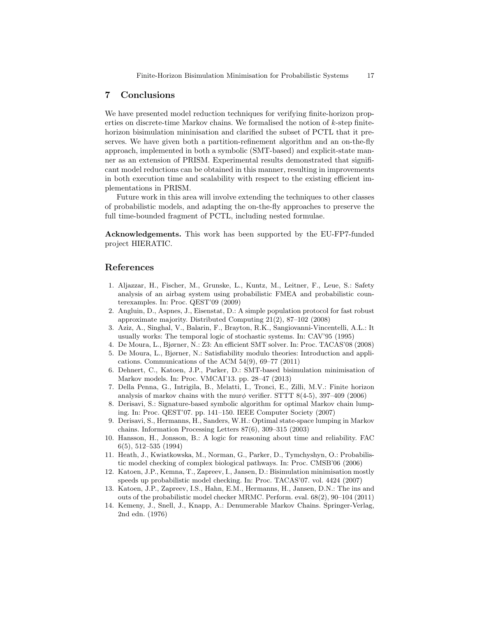## 7 Conclusions

We have presented model reduction techniques for verifying finite-horizon properties on discrete-time Markov chains. We formalised the notion of  $k$ -step finitehorizon bisimulation mininisation and clarified the subset of PCTL that it preserves. We have given both a partition-refinement algorithm and an on-the-fly approach, implemented in both a symbolic (SMT-based) and explicit-state manner as an extension of PRISM. Experimental results demonstrated that significant model reductions can be obtained in this manner, resulting in improvements in both execution time and scalability with respect to the existing efficient implementations in PRISM.

Future work in this area will involve extending the techniques to other classes of probabilistic models, and adapting the on-the-fly approaches to preserve the full time-bounded fragment of PCTL, including nested formulae.

Acknowledgements. This work has been supported by the EU-FP7-funded project HIERATIC.

# References

- <span id="page-16-2"></span>1. Aljazzar, H., Fischer, M., Grunske, L., Kuntz, M., Leitner, F., Leue, S.: Safety analysis of an airbag system using probabilistic FMEA and probabilistic counterexamples. In: Proc. QEST'09 (2009)
- <span id="page-16-13"></span>2. Angluin, D., Aspnes, J., Eisenstat, D.: A simple population protocol for fast robust approximate majority. Distributed Computing 21(2), 87–102 (2008)
- <span id="page-16-9"></span>3. Aziz, A., Singhal, V., Balarin, F., Brayton, R.K., Sangiovanni-Vincentelli, A.L.: It usually works: The temporal logic of stochastic systems. In: CAV'95 (1995)
- <span id="page-16-12"></span>4. De Moura, L., Bjørner, N.: Z3: An efficient SMT solver. In: Proc. TACAS'08 (2008)
- <span id="page-16-11"></span>5. De Moura, L., Bjørner, N.: Satisfiability modulo theories: Introduction and applications. Communications of the ACM 54(9), 69–77 (2011)
- <span id="page-16-6"></span>6. Dehnert, C., Katoen, J.P., Parker, D.: SMT-based bisimulation minimisation of Markov models. In: Proc. VMCAI'13. pp. 28–47 (2013)
- <span id="page-16-7"></span>7. Della Penna, G., Intrigila, B., Melatti, I., Tronci, E., Zilli, M.V.: Finite horizon analysis of markov chains with the mur $\phi$  verifier. STTT 8(4-5), 397-409 (2006)
- <span id="page-16-10"></span>8. Derisavi, S.: Signature-based symbolic algorithm for optimal Markov chain lumping. In: Proc. QEST'07. pp. 141–150. IEEE Computer Society (2007)
- <span id="page-16-5"></span>9. Derisavi, S., Hermanns, H., Sanders, W.H.: Optimal state-space lumping in Markov chains. Information Processing Letters 87(6), 309–315 (2003)
- <span id="page-16-3"></span>10. Hansson, H., Jonsson, B.: A logic for reasoning about time and reliability. FAC 6(5), 512–535 (1994)
- <span id="page-16-1"></span>11. Heath, J., Kwiatkowska, M., Norman, G., Parker, D., Tymchyshyn, O.: Probabilistic model checking of complex biological pathways. In: Proc. CMSB'06 (2006)
- <span id="page-16-4"></span>12. Katoen, J.P., Kemna, T., Zapreev, I., Jansen, D.: Bisimulation minimisation mostly speeds up probabilistic model checking. In: Proc. TACAS'07. vol. 4424 (2007)
- <span id="page-16-0"></span>13. Katoen, J.P., Zapreev, I.S., Hahn, E.M., Hermanns, H., Jansen, D.N.: The ins and outs of the probabilistic model checker MRMC. Perform. eval. 68(2), 90–104 (2011)
- <span id="page-16-8"></span>14. Kemeny, J., Snell, J., Knapp, A.: Denumerable Markov Chains. Springer-Verlag, 2nd edn. (1976)